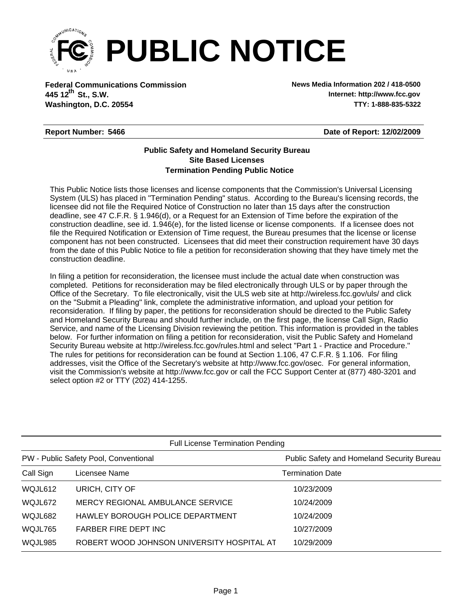

**Federal Communications Commission News Media Information 202 / 418-0500 Washington, D.C. 20554 TTY: 1-888-835-5322 445 12<sup>th</sup> St., S.W.** 

**Internet: http://www.fcc.gov**

## **Report Number: 5466**

**Date of Report: 12/02/2009**

## **Termination Pending Public Notice Site Based Licenses Public Safety and Homeland Security Bureau**

This Public Notice lists those licenses and license components that the Commission's Universal Licensing System (ULS) has placed in "Termination Pending" status. According to the Bureau's licensing records, the licensee did not file the Required Notice of Construction no later than 15 days after the construction deadline, see 47 C.F.R. § 1.946(d), or a Request for an Extension of Time before the expiration of the construction deadline, see id. 1.946(e), for the listed license or license components. If a licensee does not file the Required Notification or Extension of Time request, the Bureau presumes that the license or license component has not been constructed. Licensees that did meet their construction requirement have 30 days from the date of this Public Notice to file a petition for reconsideration showing that they have timely met the construction deadline.

In filing a petition for reconsideration, the licensee must include the actual date when construction was completed. Petitions for reconsideration may be filed electronically through ULS or by paper through the Office of the Secretary. To file electronically, visit the ULS web site at http://wireless.fcc.gov/uls/ and click on the "Submit a Pleading" link, complete the administrative information, and upload your petition for reconsideration. If filing by paper, the petitions for reconsideration should be directed to the Public Safety and Homeland Security Bureau and should further include, on the first page, the license Call Sign, Radio Service, and name of the Licensing Division reviewing the petition. This information is provided in the tables below. For further information on filing a petition for reconsideration, visit the Public Safety and Homeland Security Bureau website at http://wireless.fcc.gov/rules.html and select "Part 1 - Practice and Procedure." The rules for petitions for reconsideration can be found at Section 1.106, 47 C.F.R. § 1.106. For filing addresses, visit the Office of the Secretary's website at http://www.fcc.gov/osec. For general information, visit the Commission's website at http://www.fcc.gov or call the FCC Support Center at (877) 480-3201 and select option #2 or TTY (202) 414-1255.

| <b>Full License Termination Pending</b> |                                            |                                            |  |  |  |  |  |
|-----------------------------------------|--------------------------------------------|--------------------------------------------|--|--|--|--|--|
| PW - Public Safety Pool, Conventional   |                                            | Public Safety and Homeland Security Bureau |  |  |  |  |  |
| Call Sign                               | Licensee Name                              | <b>Termination Date</b>                    |  |  |  |  |  |
| WQJL612                                 | URICH, CITY OF                             | 10/23/2009                                 |  |  |  |  |  |
| WQJL672                                 | MERCY REGIONAL AMBULANCE SERVICE           | 10/24/2009                                 |  |  |  |  |  |
| WQJL682                                 | <b>HAWLEY BOROUGH POLICE DEPARTMENT</b>    | 10/24/2009                                 |  |  |  |  |  |
| WQJL765                                 | <b>FARBER FIRE DEPT INC</b>                | 10/27/2009                                 |  |  |  |  |  |
| WQJL985                                 | ROBERT WOOD JOHNSON UNIVERSITY HOSPITAL AT | 10/29/2009                                 |  |  |  |  |  |